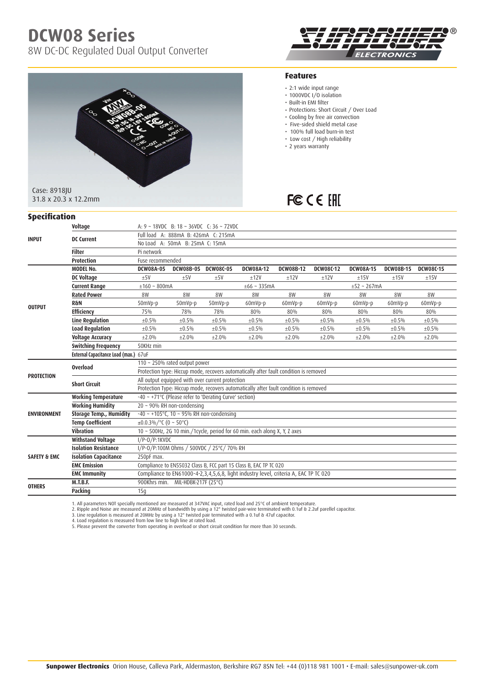# **DCW08 Series**

8W DC-DC Regulated Dual Output Converter





#### **Features**

- 2:1 wide input range
- 1000VDC I/O isolation
- • Built-in EMI filter
- Protections: Short Circuit / Over Load
- Cooling by free air convection
- Five-sided shield metal case
- 100% full load burn-in test
- Low cost / High reliability
- 2 years warranty

## FC CE EHI

| <b>Specification</b>    |                                       |                                                                                       |                                   |                  |                  |                  |             |                  |                  |                  |  |  |
|-------------------------|---------------------------------------|---------------------------------------------------------------------------------------|-----------------------------------|------------------|------------------|------------------|-------------|------------------|------------------|------------------|--|--|
|                         | Voltage                               | A: $9 \sim 18VDC$ B: $18 \sim 36VDC$ C: $36 \sim 72VDC$                               |                                   |                  |                  |                  |             |                  |                  |                  |  |  |
| <b>INPUT</b>            | <b>DC Current</b>                     | Full load A: 888mA B: 426mA C: 215mA                                                  |                                   |                  |                  |                  |             |                  |                  |                  |  |  |
|                         |                                       | No Load A: 50mA B: 25mA C: 15mA                                                       |                                   |                  |                  |                  |             |                  |                  |                  |  |  |
|                         | <b>Filter</b>                         | Pi network                                                                            |                                   |                  |                  |                  |             |                  |                  |                  |  |  |
|                         | Protection                            | Fuse recommended                                                                      |                                   |                  |                  |                  |             |                  |                  |                  |  |  |
|                         | <b>MODEL No.</b>                      | <b>DCW08A-05</b>                                                                      | <b>DCW08B-05</b>                  | <b>DCW08C-05</b> | <b>DCW08A-12</b> | <b>DCW08B-12</b> | DCW08C-12   | <b>DCW08A-15</b> | <b>DCW08B-15</b> | <b>DCW08C-15</b> |  |  |
| <b>OUTPUT</b>           | <b>DC Voltage</b>                     | $+5V$                                                                                 | ±5V                               | ±5V              | $+12V$           | ±12V             | ±12V        | ±15V             | ±15V             | ±15V             |  |  |
|                         | <b>Current Range</b>                  | $±160 - 800mA$                                                                        |                                   |                  | $±66$ ~ 335mA    |                  |             | $±52$ ~ 267mA    |                  |                  |  |  |
|                         | <b>Rated Power</b>                    | 8W                                                                                    | 8W                                | 8W               | 8W               | 8W               | <b>8W</b>   | <b>8W</b>        | 8W               | 8W               |  |  |
|                         | <b>R&amp;N</b>                        | 50mVp-p                                                                               | 50mVp-p                           | 50mVp-p          | 60mVp-p          | 60mVp-p          | 60mVp-p     | 60mVp-p          | 60mVp-p          | 60mVp-p          |  |  |
|                         | <b>Efficiency</b>                     | 75%                                                                                   | 78%                               | 78%              | 80%              | 80%              | 80%         | 80%              | 80%              | 80%              |  |  |
|                         | <b>Line Regulation</b>                | ±0.5%                                                                                 | ±0.5%                             | ±0.5%            | ±0.5%            | $\pm 0.5\%$      | ±0.5%       | ±0.5%            | ±0.5%            | $\pm 0.5\%$      |  |  |
|                         | <b>Load Regulation</b>                | ±0.5%                                                                                 | ±0.5%                             | $\pm 0.5\%$      | ±0.5%            | $\pm 0.5\%$      | $\pm 0.5\%$ | $\pm 0.5\%$      | $\pm 0.5\%$      | ±0.5%            |  |  |
|                         | <b>Voltage Accuracy</b>               | ±2.0%                                                                                 | ±2.0%                             | ±2.0%            | ±2.0%            | ±2.0%            | ±2.0%       | $\pm 2.0\%$      | ±2.0%            | $\pm 2.0\%$      |  |  |
|                         | <b>Switching Frequency</b>            | 50KHz min                                                                             |                                   |                  |                  |                  |             |                  |                  |                  |  |  |
|                         | External Capacitance Load (max.) 67uF |                                                                                       |                                   |                  |                  |                  |             |                  |                  |                  |  |  |
| <b>PROTECTION</b>       | <b>Overload</b>                       | 110 ~ 250% rated output power                                                         |                                   |                  |                  |                  |             |                  |                  |                  |  |  |
|                         |                                       | Protection type: Hiccup mode, recovers automatically after fault condition is removed |                                   |                  |                  |                  |             |                  |                  |                  |  |  |
|                         | <b>Short Circuit</b>                  | All output equipped with over current protection                                      |                                   |                  |                  |                  |             |                  |                  |                  |  |  |
|                         |                                       | Protection Type: Hiccup mode, recovers automatically after fault condition is removed |                                   |                  |                  |                  |             |                  |                  |                  |  |  |
| <b>ENVIRONMENT</b>      | <b>Working Temperature</b>            | -40 ~ +71°C (Please refer to 'Derating Curve' section)                                |                                   |                  |                  |                  |             |                  |                  |                  |  |  |
|                         | <b>Working Humidity</b>               | $20 \sim 90\%$ RH non-condensing                                                      |                                   |                  |                  |                  |             |                  |                  |                  |  |  |
|                         | <b>Storage Temp., Humidity</b>        | $-40 \sim +105^{\circ}$ C, 10 ~ 95% RH non-condensing                                 |                                   |                  |                  |                  |             |                  |                  |                  |  |  |
|                         | <b>Temp Coefficient</b>               | $\pm 0.0.3\%$ /°C (0 ~ 50°C)                                                          |                                   |                  |                  |                  |             |                  |                  |                  |  |  |
|                         | <b>Vibration</b>                      | $10 \sim 500$ Hz, 2G 10 min./1cycle, period for 60 min. each along X, Y, Z axes       |                                   |                  |                  |                  |             |                  |                  |                  |  |  |
| <b>SAFETY &amp; EMC</b> | <b>Withstand Voltage</b>              | I/P-0/P:1KVDC                                                                         |                                   |                  |                  |                  |             |                  |                  |                  |  |  |
|                         | <b>Isolation Resistance</b>           | I/P-0/P:100M Ohms / 500VDC / 25°C/ 70% RH                                             |                                   |                  |                  |                  |             |                  |                  |                  |  |  |
|                         | <b>Isolation Capacitance</b>          | 250pF max.                                                                            |                                   |                  |                  |                  |             |                  |                  |                  |  |  |
|                         | <b>EMC Emission</b>                   | Compliance to EN55032 Class B, FCC part 15 Class B, EAC TP TC 020                     |                                   |                  |                  |                  |             |                  |                  |                  |  |  |
|                         | <b>EMC Immunity</b>                   | Compliance to EN61000-4-2,3,4,5,6,8, light industry level, criteria A, EAC TP TC 020  |                                   |                  |                  |                  |             |                  |                  |                  |  |  |
| <b>OTHERS</b>           | <b>M.T.B.F.</b>                       |                                                                                       | 900Khrs min. MIL-HDBK-217F (25°C) |                  |                  |                  |             |                  |                  |                  |  |  |
|                         | Packing                               | 15 <sub>0</sub>                                                                       |                                   |                  |                  |                  |             |                  |                  |                  |  |  |

1. All parameters NOT specially mentioned are measured at 347VAC input, rated load and 25°C of ambient temperature.<br>2. Ripple and Noise are measured at 20MHz of bandwidth by using a 12" twisted pair-wire terminated with 0.